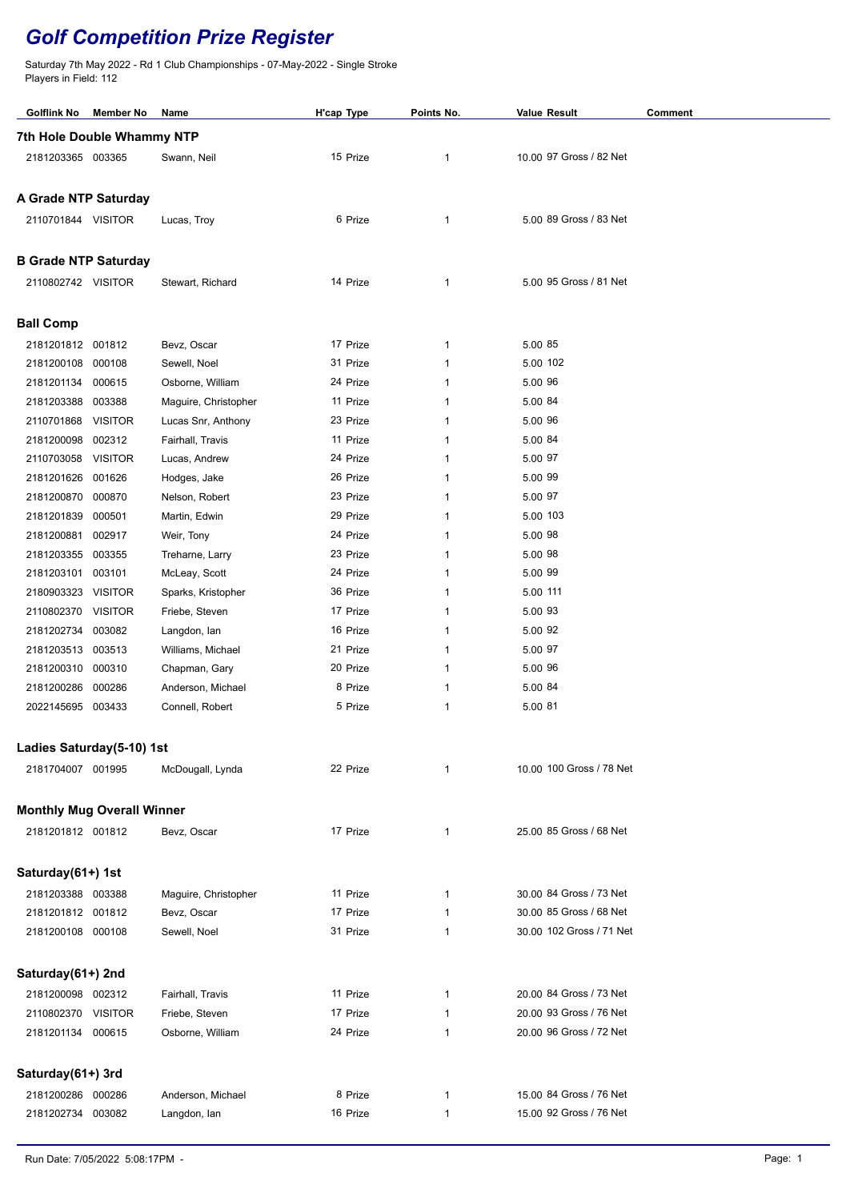## *Golf Competition Prize Register*

Saturday 7th May 2022 - Rd 1 Club Championships - 07-May-2022 - Single Stroke Players in Field: 112

| Golflink No                             | Member No                | Name                                       | H'cap Type           | Points No.   | <b>Value Result</b>                                | Comment |  |  |  |  |  |
|-----------------------------------------|--------------------------|--------------------------------------------|----------------------|--------------|----------------------------------------------------|---------|--|--|--|--|--|
| 7th Hole Double Whammy NTP              |                          |                                            |                      |              |                                                    |         |  |  |  |  |  |
| 2181203365 003365                       |                          | Swann, Neil                                | 15 Prize             | 1            | 10.00 97 Gross / 82 Net                            |         |  |  |  |  |  |
|                                         |                          |                                            |                      |              |                                                    |         |  |  |  |  |  |
| <b>A Grade NTP Saturday</b>             |                          |                                            |                      |              |                                                    |         |  |  |  |  |  |
| 2110701844 VISITOR                      |                          | Lucas, Troy                                | 6 Prize              | 1            | 5.00 89 Gross / 83 Net                             |         |  |  |  |  |  |
|                                         |                          |                                            |                      |              |                                                    |         |  |  |  |  |  |
| <b>B Grade NTP Saturday</b>             |                          |                                            |                      |              |                                                    |         |  |  |  |  |  |
|                                         |                          |                                            | 14 Prize             |              | 5.00 95 Gross / 81 Net                             |         |  |  |  |  |  |
| 2110802742 VISITOR                      |                          | Stewart, Richard                           |                      | 1            |                                                    |         |  |  |  |  |  |
|                                         |                          |                                            |                      |              |                                                    |         |  |  |  |  |  |
| <b>Ball Comp</b>                        |                          |                                            |                      |              |                                                    |         |  |  |  |  |  |
| 2181201812 001812                       |                          | Bevz, Oscar                                | 17 Prize             | 1            | 5.00 85                                            |         |  |  |  |  |  |
| 2181200108 000108                       |                          | Sewell, Noel                               | 31 Prize             | 1            | 5.00 102                                           |         |  |  |  |  |  |
| 2181201134                              | 000615                   | Osborne, William                           | 24 Prize<br>11 Prize | 1<br>1       | 5.00 96<br>5.00 84                                 |         |  |  |  |  |  |
| 2181203388                              | 003388<br><b>VISITOR</b> | Maguire, Christopher<br>Lucas Snr, Anthony | 23 Prize             | 1            | 5.00 96                                            |         |  |  |  |  |  |
| 2110701868<br>2181200098                | 002312                   | Fairhall, Travis                           | 11 Prize             | 1            | 5.00 84                                            |         |  |  |  |  |  |
| 2110703058                              | <b>VISITOR</b>           | Lucas, Andrew                              | 24 Prize             | 1            | 5.00 97                                            |         |  |  |  |  |  |
| 2181201626                              | 001626                   | Hodges, Jake                               | 26 Prize             | 1            | 5.00 99                                            |         |  |  |  |  |  |
| 2181200870 000870                       |                          | Nelson, Robert                             | 23 Prize             | 1            | 5.00 97                                            |         |  |  |  |  |  |
| 2181201839                              | 000501                   | Martin, Edwin                              | 29 Prize             | 1            | 5.00 103                                           |         |  |  |  |  |  |
| 2181200881 002917                       |                          | Weir, Tony                                 | 24 Prize             | 1            | 5.00 98                                            |         |  |  |  |  |  |
| 2181203355 003355                       |                          | Treharne, Larry                            | 23 Prize             | 1            | 5.00 98                                            |         |  |  |  |  |  |
| 2181203101                              | 003101                   | McLeay, Scott                              | 24 Prize             | 1            | 5.00 99                                            |         |  |  |  |  |  |
| 2180903323 VISITOR                      |                          | Sparks, Kristopher                         | 36 Prize             | 1            | 5.00 111                                           |         |  |  |  |  |  |
| 2110802370 VISITOR                      |                          | Friebe, Steven                             | 17 Prize             | 1            | 5.00 93                                            |         |  |  |  |  |  |
| 2181202734                              | 003082                   | Langdon, lan                               | 16 Prize             | 1            | 5.00 92                                            |         |  |  |  |  |  |
| 2181203513 003513                       |                          | Williams, Michael                          | 21 Prize             | 1            | 5.00 97                                            |         |  |  |  |  |  |
| 2181200310 000310                       |                          | Chapman, Gary                              | 20 Prize             | 1            | 5.00 96                                            |         |  |  |  |  |  |
| 2181200286 000286                       |                          | Anderson, Michael                          | 8 Prize              | $\mathbf{1}$ | 5.00 84                                            |         |  |  |  |  |  |
| 2022145695 003433                       |                          | Connell, Robert                            | 5 Prize              | 1            | 5.00 81                                            |         |  |  |  |  |  |
|                                         |                          |                                            |                      |              |                                                    |         |  |  |  |  |  |
| Ladies Saturday(5-10) 1st               |                          |                                            |                      |              |                                                    |         |  |  |  |  |  |
| 2181704007 001995                       |                          | McDougall, Lynda                           | 22 Prize             | 1            | 10.00 100 Gross / 78 Net                           |         |  |  |  |  |  |
|                                         |                          |                                            |                      |              |                                                    |         |  |  |  |  |  |
| <b>Monthly Mug Overall Winner</b>       |                          |                                            |                      |              |                                                    |         |  |  |  |  |  |
| 2181201812 001812                       |                          | Bevz, Oscar                                | 17 Prize             | 1            | 25.00 85 Gross / 68 Net                            |         |  |  |  |  |  |
|                                         |                          |                                            |                      |              |                                                    |         |  |  |  |  |  |
| Saturday(61+) 1st                       |                          |                                            |                      |              |                                                    |         |  |  |  |  |  |
| 2181203388 003388                       |                          | Maguire, Christopher                       | 11 Prize             | 1            | 30.00 84 Gross / 73 Net                            |         |  |  |  |  |  |
| 2181201812 001812                       |                          | Bevz, Oscar                                | 17 Prize             | 1            | 30.00 85 Gross / 68 Net                            |         |  |  |  |  |  |
| 2181200108 000108                       |                          | Sewell, Noel                               | 31 Prize             | 1            | 30.00 102 Gross / 71 Net                           |         |  |  |  |  |  |
|                                         |                          |                                            |                      |              |                                                    |         |  |  |  |  |  |
|                                         |                          |                                            |                      |              |                                                    |         |  |  |  |  |  |
| Saturday(61+) 2nd                       |                          |                                            |                      |              |                                                    |         |  |  |  |  |  |
| 2181200098 002312                       |                          | Fairhall, Travis                           | 11 Prize<br>17 Prize | 1            | 20.00 84 Gross / 73 Net<br>20.00 93 Gross / 76 Net |         |  |  |  |  |  |
| 2110802370 VISITOR<br>2181201134 000615 |                          | Friebe, Steven<br>Osborne, William         | 24 Prize             | 1<br>1       | 20.00 96 Gross / 72 Net                            |         |  |  |  |  |  |
|                                         |                          |                                            |                      |              |                                                    |         |  |  |  |  |  |
|                                         |                          |                                            |                      |              |                                                    |         |  |  |  |  |  |
| Saturday(61+) 3rd                       |                          |                                            |                      |              |                                                    |         |  |  |  |  |  |
| 2181200286 000286                       |                          | Anderson, Michael                          | 8 Prize              | 1            | 15.00 84 Gross / 76 Net                            |         |  |  |  |  |  |
| 2181202734 003082                       |                          | Langdon, lan                               | 16 Prize             | 1            | 15.00 92 Gross / 76 Net                            |         |  |  |  |  |  |
|                                         |                          |                                            |                      |              |                                                    |         |  |  |  |  |  |